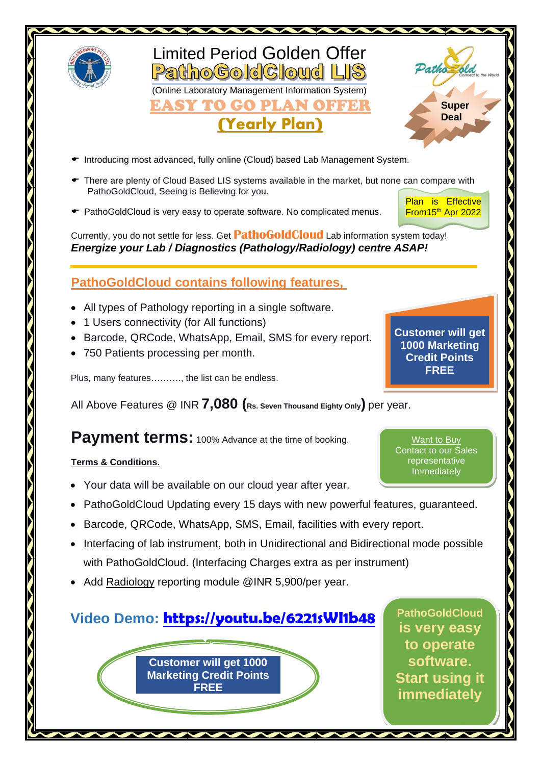

# Limited Period Golden Offer PathoGoldCloud LIS (Online Laboratory Management Information System)

EASY TO GO PLAN OFFER

# (Yearly Plan)



- $\bullet$  Introducing most advanced, fully online (Cloud) based Lab Management System.
- $\blacktriangleright$  There are plenty of Cloud Based LIS systems available in the market, but none can compare with PathoGoldCloud, Seeing is Believing for you.
- PathoGoldCloud is very easy to operate software. No complicated menus.

Plan is Effective From15<sup>th</sup> Apr 2022

Currently, you do not settle for less. Get **PathoGoldCloud** Lab information system today! *Energize your Lab / Diagnostics (Pathology/Radiology) centre ASAP!*

## **PathoGoldCloud contains following features,**

- All types of Pathology reporting in a single software.
- 1 Users connectivity (for All functions)
- Barcode, QRCode, WhatsApp, Email, SMS for every report.
- 750 Patients processing per month.

Plus, many features………., the list can be endless.

All Above Features @ INR **7,080 (Rs. Seven Thousand Eighty Only)** per year.

### **Payment terms:** 100% Advance at the time of booking.

#### **Terms & Conditions**.

- Your data will be available on our cloud year after year.
- PathoGoldCloud Updating every 15 days with new powerful features, guaranteed.
- Barcode, QRCode, WhatsApp, SMS, Email, facilities with every report.
- Interfacing of lab instrument, both in Unidirectional and Bidirectional mode possible with PathoGoldCloud. (Interfacing Charges extra as per instrument)
- Add Radiology reporting module @INR 5,900/per year.

# **Video Demo: <https://youtu.be/6221sWI1b48>**

**Customer will get 1000 Marketing Credit Points FREE** 

**By paying additional charges, You CAN LIS V1.0 LIS for meeting PathoGoldCloud is very easy to operate software. Start using it immediately**

**Customer will get 1000 Marketing Credit Points FREE** 

Want to Buy Contact to our Sales representative Immediately